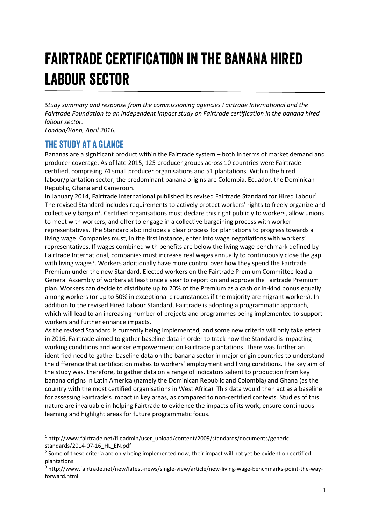# Fairtrade certification in the banana hired labour sector

*Study summary and response from the commissioning agencies Fairtrade International and the Fairtrade Foundation to an independent impact study on Fairtrade certification in the banana hired labour sector.*

*London/Bonn, April 2016.*

# The study at a glance

Bananas are a significant product within the Fairtrade system – both in terms of market demand and producer coverage. As of late 2015, 125 producer groups across 10 countries were Fairtrade certified, comprising 74 small producer organisations and 51 plantations. Within the hired labour/plantation sector, the predominant banana origins are Colombia, Ecuador, the Dominican Republic, Ghana and Cameroon.

In January 2014, Fairtrade International published its revised Fairtrade Standard for Hired Labour<sup>1</sup>. The revised Standard includes requirements to actively protect workers' rights to freely organize and collectively bargain<sup>2</sup>. Certified organisations must declare this right publicly to workers, allow unions to meet with workers, and offer to engage in a collective bargaining process with worker representatives. The Standard also includes a clear process for plantations to progress towards a living wage. Companies must, in the first instance, enter into wage negotiations with workers' representatives. If wages combined with benefits are below the living wage benchmark defined by Fairtrade International, companies must increase real wages annually to continuously close the gap with living wages<sup>3</sup>. Workers additionally have more control over how they spend the Fairtrade Premium under the new Standard. Elected workers on the Fairtrade Premium Committee lead a General Assembly of workers at least once a year to report on and approve the Fairtrade Premium plan. Workers can decide to distribute up to 20% of the Premium as a cash or in-kind bonus equally among workers (or up to 50% in exceptional circumstances if the majority are migrant workers). In addition to the revised Hired Labour Standard, Fairtrade is adopting a programmatic approach, which will lead to an increasing number of projects and programmes being implemented to support workers and further enhance impacts.

As the revised Standard is currently being implemented, and some new criteria will only take effect in 2016, Fairtrade aimed to gather baseline data in order to track how the Standard is impacting working conditions and worker empowerment on Fairtrade plantations. There was further an identified need to gather baseline data on the banana sector in major origin countries to understand the difference that certification makes to workers' employment and living conditions. The key aim of the study was, therefore, to gather data on a range of indicators salient to production from key banana origins in Latin America (namely the Dominican Republic and Colombia) and Ghana (as the country with the most certified organisations in West Africa). This data would then act as a baseline for assessing Fairtrade's impact in key areas, as compared to non-certified contexts. Studies of this nature are invaluable in helping Fairtrade to evidence the impacts of its work, ensure continuous learning and highlight areas for future programmatic focus.

 <sup>1</sup> [http://www.fairtrade.net/fileadmin/user\\_upload/content/2009/standards/documents/generic](http://www.fairtrade.net/fileadmin/user_upload/content/2009/standards/documents/generic-standards/2014-07-16_HL_EN.pdf)[standards/2014-07-16\\_HL\\_EN.pdf](http://www.fairtrade.net/fileadmin/user_upload/content/2009/standards/documents/generic-standards/2014-07-16_HL_EN.pdf)

<sup>&</sup>lt;sup>2</sup> Some of these criteria are only being implemented now; their impact will not yet be evident on certified plantations.

<sup>3</sup> [http://www.fairtrade.net/new/latest-news/single-view/article/new-living-wage-benchmarks-point-the-way](http://www.fairtrade.net/new/latest-news/single-view/article/new-living-wage-benchmarks-point-the-way-forward.html)[forward.html](http://www.fairtrade.net/new/latest-news/single-view/article/new-living-wage-benchmarks-point-the-way-forward.html)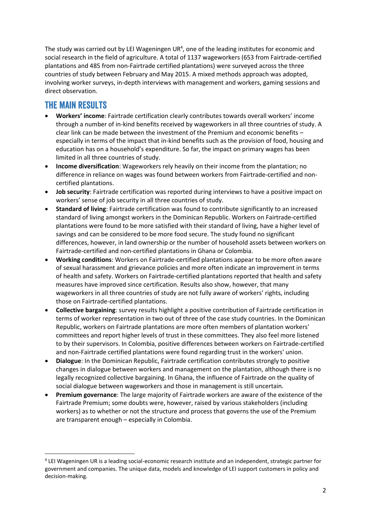The study was carried out by LEI Wageningen UR<sup>4</sup>, one of the leading institutes for economic and social research in the field of agriculture. A total of 1137 wageworkers (653 from Fairtrade-certified plantations and 485 from non-Fairtrade certified plantations) were surveyed across the three countries of study between February and May 2015. A mixed methods approach was adopted, involving worker surveys, in-depth interviews with management and workers, gaming sessions and direct observation.

# The main results

- x **Workers' income**: Fairtrade certification clearly contributes towards overall workers' income through a number of in-kind benefits received by wageworkers in all three countries of study. A clear link can be made between the investment of the Premium and economic benefits – especially in terms of the impact that in-kind benefits such as the provision of food, housing and education has on a household's expenditure. So far, the impact on primary wages has been limited in all three countries of study.
- **Income diversification**: Wageworkers rely heavily on their income from the plantation; no difference in reliance on wages was found between workers from Fairtrade-certified and noncertified plantations.
- **Job security**: Fairtrade certification was reported during interviews to have a positive impact on workers' sense of job security in all three countries of study.
- x **Standard of living**: Fairtrade certification was found to contribute significantly to an increased standard of living amongst workers in the Dominican Republic. Workers on Fairtrade-certified plantations were found to be more satisfied with their standard of living, have a higher level of savings and can be considered to be more food secure. The study found no significant differences, however, in land ownership or the number of household assets between workers on Fairtrade-certified and non-certified plantations in Ghana or Colombia.
- x **Working conditions**: Workers on Fairtrade-certified plantations appear to be more often aware of sexual harassment and grievance policies and more often indicate an improvement in terms of health and safety. Workers on Fairtrade-certified plantations reported that health and safety measures have improved since certification. Results also show, however, that many wageworkers in all three countries of study are not fully aware of workers' rights, including those on Fairtrade-certified plantations.
- x **Collective bargaining**: survey results highlight a positive contribution of Fairtrade certification in terms of worker representation in two out of three of the case study countries. In the Dominican Republic, workers on Fairtrade plantations are more often members of plantation workers' committees and report higher levels of trust in these committees. They also feel more listened to by their supervisors. In Colombia, positive differences between workers on Fairtrade-certified and non-Fairtrade certified plantations were found regarding trust in the workers' union.
- **Dialogue**: In the Dominican Republic, Fairtrade certification contributes strongly to positive changes in dialogue between workers and management on the plantation, although there is no legally recognized collective bargaining. In Ghana, the influence of Fairtrade on the quality of social dialogue between wageworkers and those in management is still uncertain.
- x **Premium governance**: The large majority of Fairtrade workers are aware of the existence of the Fairtrade Premium; some doubts were, however, raised by various stakeholders (including workers) as to whether or not the structure and process that governs the use of the Premium are transparent enough – especially in Colombia.

 <sup>4</sup> LEI Wageningen UR is a leading social-economic research institute and an independent, strategic partner for government and companies. The unique data, models and knowledge of LEI support customers in policy and decision-making.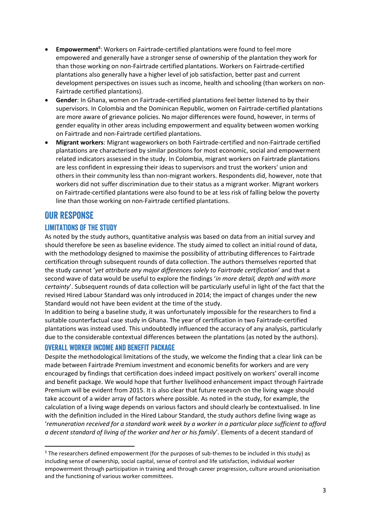- **Empowerment<sup>5</sup>:** Workers on Fairtrade-certified plantations were found to feel more empowered and generally have a stronger sense of ownership of the plantation they work for than those working on non-Fairtrade certified plantations. Workers on Fairtrade-certified plantations also generally have a higher level of job satisfaction, better past and current development perspectives on issues such as income, health and schooling (than workers on non-Fairtrade certified plantations).
- Gender: In Ghana, women on Fairtrade-certified plantations feel better listened to by their supervisors. In Colombia and the Dominican Republic, women on Fairtrade-certified plantations are more aware of grievance policies. No major differences were found, however, in terms of gender equality in other areas including empowerment and equality between women working on Fairtrade and non-Fairtrade certified plantations.
- x **Migrant workers**: Migrant wageworkers on both Fairtrade-certified and non-Fairtrade certified plantations are characterised by similar positions for most economic, social and empowerment related indicators assessed in the study. In Colombia, migrant workers on Fairtrade plantations are less confident in expressing their ideas to supervisors and trust the workers' union and others in their community less than non-migrant workers. Respondents did, however, note that workers did not suffer discrimination due to their status as a migrant worker. Migrant workers on Fairtrade-certified plantations were also found to be at less risk of falling below the poverty line than those working on non-Fairtrade certified plantations.

# **OUR RESPONSE**

## Limitations of the study

As noted by the study authors, quantitative analysis was based on data from an initial survey and should therefore be seen as baseline evidence. The study aimed to collect an initial round of data, with the methodology designed to maximise the possibility of attributing differences to Fairtrade certification through subsequent rounds of data collection. The authors themselves reported that the study cannot '*yet attribute any major differences solely to Fairtrade certification*' and that a second wave of data would be useful to explore the findings '*in more detail, depth and with more certainty*'. Subsequent rounds of data collection will be particularly useful in light of the fact that the revised Hired Labour Standard was only introduced in 2014; the impact of changes under the new Standard would not have been evident at the time of the study.

In addition to being a baseline study, it was unfortunately impossible for the researchers to find a suitable counterfactual case study in Ghana. The year of certification in two Fairtrade-certified plantations was instead used. This undoubtedly influenced the accuracy of any analysis, particularly due to the considerable contextual differences between the plantations (as noted by the authors).

## Overall worker income and benefit package

Despite the methodological limitations of the study, we welcome the finding that a clear link can be made between Fairtrade Premium investment and economic benefits for workers and are very encouraged by findings that certification does indeed impact positively on workers' overall income and benefit package. We would hope that further livelihood enhancement impact through Fairtrade Premium will be evident from 2015. It is also clear that future research on the living wage should take account of a wider array of factors where possible. As noted in the study, for example, the calculation of a living wage depends on various factors and should clearly be contextualised. In line with the definition included in the Hired Labour Standard, the study authors define living wage as '*remuneration received for a standard work week by a worker in a particular place sufficient to afford a decent standard of living of the worker and her or his family*'. Elements of a decent standard of

 <sup>5</sup> The researchers defined empowerment (for the purposes of sub-themes to be included in this study) as including sense of ownership, social capital, sense of control and life satisfaction, individual worker empowerment through participation in training and through career progression, culture around unionisation and the functioning of various worker committees.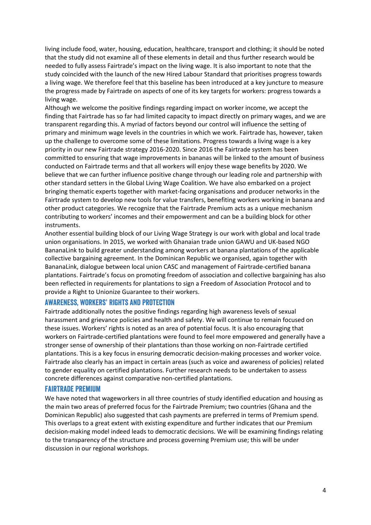living include food, water, housing, education, healthcare, transport and clothing; it should be noted that the study did not examine all of these elements in detail and thus further research would be needed to fully assess Fairtrade's impact on the living wage. It is also important to note that the study coincided with the launch of the new Hired Labour Standard that prioritises progress towards a living wage. We therefore feel that this baseline has been introduced at a key juncture to measure the progress made by Fairtrade on aspects of one of its key targets for workers: progress towards a living wage.

Although we welcome the positive findings regarding impact on worker income, we accept the finding that Fairtrade has so far had limited capacity to impact directly on primary wages, and we are transparent regarding this. A myriad of factors beyond our control will influence the setting of primary and minimum wage levels in the countries in which we work. Fairtrade has, however, taken up the challenge to overcome some of these limitations. Progress towards a living wage is a key priority in our new Fairtrade strategy 2016-2020. Since 2016 the Fairtrade system has been committed to ensuring that wage improvements in bananas will be linked to the amount of business conducted on Fairtrade terms and that all workers will enjoy these wage benefits by 2020. We believe that we can further influence positive change through our leading role and partnership with other standard setters in the Global Living Wage Coalition. We have also embarked on a project bringing thematic experts together with market-facing organisations and producer networks in the Fairtrade system to develop new tools for value transfers, benefiting workers working in banana and other product categories. We recognize that the Fairtrade Premium acts as a unique mechanism contributing to workers' incomes and their empowerment and can be a building block for other instruments.

Another essential building block of our Living Wage Strategy is our work with global and local trade union organisations. In 2015, we worked with Ghanaian trade union GAWU and UK-based NGO BananaLink to build greater understanding among workers at banana plantations of the applicable collective bargaining agreement. In the Dominican Republic we organised, again together with BananaLink, dialogue between local union CASC and management of Fairtrade-certified banana plantations. Fairtrade's focus on promoting freedom of association and collective bargaining has also been reflected in requirements for plantations to sign a Freedom of Association Protocol and to provide a Right to Unionize Guarantee to their workers.

#### Awareness, workers' rights and protection

Fairtrade additionally notes the positive findings regarding high awareness levels of sexual harassment and grievance policies and health and safety. We will continue to remain focused on these issues. Workers' rights is noted as an area of potential focus. It is also encouraging that workers on Fairtrade-certified plantations were found to feel more empowered and generally have a stronger sense of ownership of their plantations than those working on non-Fairtrade certified plantations. This is a key focus in ensuring democratic decision-making processes and worker voice. Fairtrade also clearly has an impact in certain areas (such as voice and awareness of policies) related to gender equality on certified plantations. Further research needs to be undertaken to assess concrete differences against comparative non-certified plantations.

#### Fairtrade Premium

We have noted that wageworkers in all three countries of study identified education and housing as the main two areas of preferred focus for the Fairtrade Premium; two countries (Ghana and the Dominican Republic) also suggested that cash payments are preferred in terms of Premium spend. This overlaps to a great extent with existing expenditure and further indicates that our Premium decision-making model indeed leads to democratic decisions. We will be examining findings relating to the transparency of the structure and process governing Premium use; this will be under discussion in our regional workshops.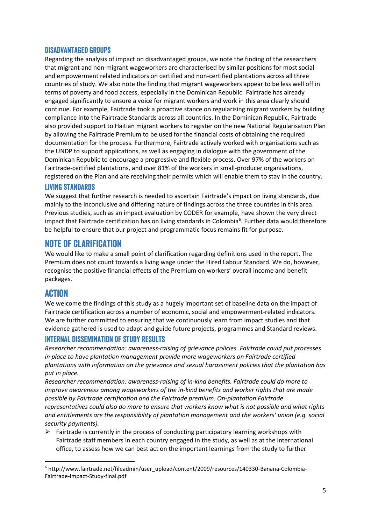## Disadvantaged groups

Regarding the analysis of impact on disadvantaged groups, we note the finding of the researchers that migrant and non-migrant wageworkers are characterised by similar positions for most social and empowerment related indicators on certified and non-certified plantations across all three countries of study. We also note the finding that migrant wageworkers appear to be less well off in terms of poverty and food access, especially in the Dominican Republic. Fairtrade has already engaged significantly to ensure a voice for migrant workers and work in this area clearly should continue. For example, Fairtrade took a proactive stance on regularising migrant workers by building compliance into the Fairtrade Standards across all countries. In the Dominican Republic, Fairtrade also provided support to Haitian migrant workers to register on the new National Regularisation Plan by allowing the Fairtrade Premium to be used for the financial costs of obtaining the required documentation for the process. Furthermore, Fairtrade actively worked with organisations such as the UNDP to support applications, as well as engaging in dialogue with the government of the Dominican Republic to encourage a progressive and flexible process. Over 97% of the workers on Fairtrade-certified plantations, and over 81% of the workers in small-producer organisations, registered on the Plan and are receiving their permits which will enable them to stay in the country.

## Living standards

We suggest that further research is needed to ascertain Fairtrade's impact on living standards, due mainly to the inconclusive and differing nature of findings across the three countries in this area. Previous studies, such as an impact evaluation by CODER for example, have shown the very direct impact that Fairtrade certification has on living standards in Colombia<sup>6</sup>. Further data would therefore be helpful to ensure that our project and programmatic focus remains fit for purpose.

# Note of clarification

We would like to make a small point of clarification regarding definitions used in the report. The Premium does not count towards a living wage under the Hired Labour Standard. We do, however, recognise the positive financial effects of the Premium on workers' overall income and benefit packages.

# **ACTION**

We welcome the findings of this study as a hugely important set of baseline data on the impact of Fairtrade certification across a number of economic, social and empowerment-related indicators. We are further committed to ensuring that we continuously learn from impact studies and that evidence gathered is used to adapt and guide future projects, programmes and Standard reviews.

## Internal dissemination of study results

*Researcher recommendation: awareness-raising of grievance policies. Fairtrade could put processes in place to have plantation management provide more wageworkers on Fairtrade certified plantations with information on the grievance and sexual harassment policies that the plantation has put in place.* 

*Researcher recommendation: awareness-raising of in-kind benefits. Fairtrade could do more to improve awareness among wageworkers of the in-kind benefits and worker rights that are made possible by Fairtrade certification and the Fairtrade premium. On-plantation Fairtrade representatives could also do more to ensure that workers know what is not possible and what rights and entitlements are the responsibility of plantation management and the workers' union (e.g. social security payments).* 

 $\triangleright$  Fairtrade is currently in the process of conducting participatory learning workshops with Fairtrade staff members in each country engaged in the study, as well as at the international office, to assess how we can best act on the important learnings from the study to further

 <sup>6</sup> [http://www.fairtrade.net/fileadmin/user\\_upload/content/2009/resources/140330-Banana-Colombia-](http://www.fairtrade.net/fileadmin/user_upload/content/2009/resources/140330-Banana-Colombia-Fairtrade-Impact-Study-final.pdf)[Fairtrade-Impact-Study-final.pdf](http://www.fairtrade.net/fileadmin/user_upload/content/2009/resources/140330-Banana-Colombia-Fairtrade-Impact-Study-final.pdf)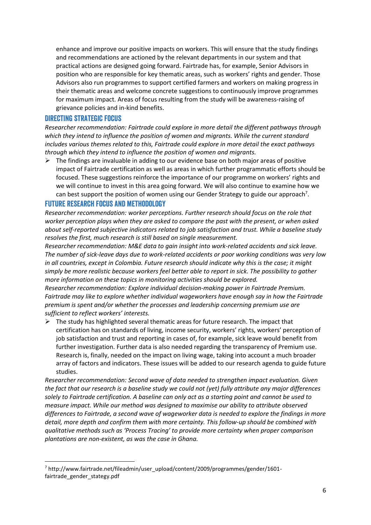enhance and improve our positive impacts on workers. This will ensure that the study findings and recommendations are actioned by the relevant departments in our system and that practical actions are designed going forward. Fairtrade has, for example, Senior Advisors in position who are responsible for key thematic areas, such as workers' rights and gender. Those Advisors also run programmes to support certified farmers and workers on making progress in their thematic areas and welcome concrete suggestions to continuously improve programmes for maximum impact. Areas of focus resulting from the study will be awareness-raising of grievance policies and in-kind benefits.

## Directing strategic focus

*Researcher recommendation: Fairtrade could explore in more detail the different pathways through which they intend to influence the position of women and migrants. While the current standard includes various themes related to this, Fairtrade could explore in more detail the exact pathways through which they intend to influence the position of women and migrants.* 

 $\triangleright$  The findings are invaluable in adding to our evidence base on both major areas of positive impact of Fairtrade certification as well as areas in which further programmatic efforts should be focused. These suggestions reinforce the importance of our programme on workers' rights and we will continue to invest in this area going forward. We will also continue to examine how we can best support the position of women using our Gender Strategy to guide our approach<sup>7</sup>.

## Future research focus and methodology

*Researcher recommendation: worker perceptions. Further research should focus on the role that worker perception plays when they are asked to compare the past with the present, or when asked about self-reported subjective indicators related to job satisfaction and trust. While a baseline study resolves the first, much research is still based on single measurement.* 

*Researcher recommendation: M&E data to gain insight into work-related accidents and sick leave. The number of sick-leave days due to work-related accidents or poor working conditions was very low in all countries, except in Colombia. Future research should indicate why this is the case; it might simply be more realistic because workers feel better able to report in sick. The possibility to gather more information on these topics in monitoring activities should be explored.* 

*Researcher recommendation: Explore individual decision-making power in Fairtrade Premium. Fairtrade may like to explore whether individual wageworkers have enough say in how the Fairtrade premium is spent and/or whether the processes and leadership concerning premium use are sufficient to reflect workers' interests.* 

 $\triangleright$  The study has highlighted several thematic areas for future research. The impact that certification has on standards of living, income security, workers' rights, workers' perception of job satisfaction and trust and reporting in cases of, for example, sick leave would benefit from further investigation. Further data is also needed regarding the transparency of Premium use. Research is, finally, needed on the impact on living wage, taking into account a much broader array of factors and indicators. These issues will be added to our research agenda to guide future studies.

*Researcher recommendation: Second wave of data needed to strengthen impact evaluation. Given the fact that our research is a baseline study we could not (yet) fully attribute any major differences solely to Fairtrade certification. A baseline can only act as a starting point and cannot be used to measure impact. While our method was designed to maximise our ability to attribute observed differences to Fairtrade, a second wave of wageworker data is needed to explore the findings in more detail, more depth and confirm them with more certainty. This follow-up should be combined with qualitative methods such as 'Process Tracing' to provide more certainty when proper comparison plantations are non-existent, as was the case in Ghana.* 

 <sup>7</sup> [http://www.fairtrade.net/fileadmin/user\\_upload/content/2009/programmes/gender/1601](http://www.fairtrade.net/fileadmin/user_upload/content/2009/programmes/gender/1601-fairtrade_gender_stategy.pdf) [fairtrade\\_gender\\_stategy.pdf](http://www.fairtrade.net/fileadmin/user_upload/content/2009/programmes/gender/1601-fairtrade_gender_stategy.pdf)